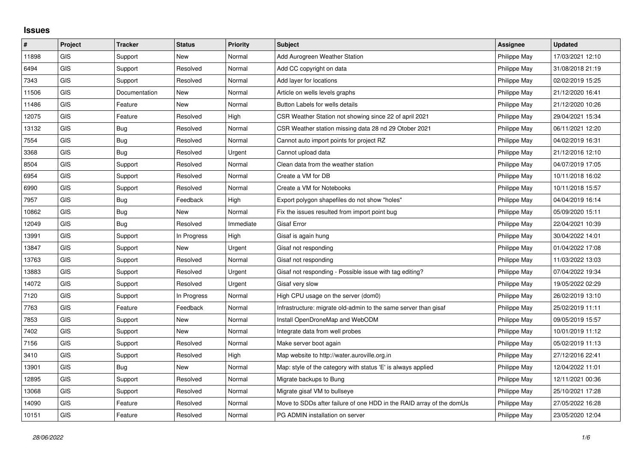## **Issues**

| $\vert$ # | Project    | <b>Tracker</b> | <b>Status</b> | Priority  | <b>Subject</b>                                                       | <b>Assignee</b> | <b>Updated</b>   |
|-----------|------------|----------------|---------------|-----------|----------------------------------------------------------------------|-----------------|------------------|
| 11898     | <b>GIS</b> | Support        | <b>New</b>    | Normal    | Add Aurogreen Weather Station                                        | Philippe May    | 17/03/2021 12:10 |
| 6494      | GIS        | Support        | Resolved      | Normal    | Add CC copyright on data                                             | Philippe May    | 31/08/2018 21:19 |
| 7343      | <b>GIS</b> | Support        | Resolved      | Normal    | Add layer for locations                                              | Philippe May    | 02/02/2019 15:25 |
| 11506     | <b>GIS</b> | Documentation  | <b>New</b>    | Normal    | Article on wells levels graphs                                       | Philippe May    | 21/12/2020 16:41 |
| 11486     | GIS        | Feature        | <b>New</b>    | Normal    | Button Labels for wells details                                      | Philippe May    | 21/12/2020 10:26 |
| 12075     | GIS        | Feature        | Resolved      | High      | CSR Weather Station not showing since 22 of april 2021               | Philippe May    | 29/04/2021 15:34 |
| 13132     | GIS        | Bug            | Resolved      | Normal    | CSR Weather station missing data 28 nd 29 Otober 2021                | Philippe May    | 06/11/2021 12:20 |
| 7554      | GIS        | Bug            | Resolved      | Normal    | Cannot auto import points for project RZ                             | Philippe May    | 04/02/2019 16:31 |
| 3368      | GIS        | Bug            | Resolved      | Urgent    | Cannot upload data                                                   | Philippe May    | 21/12/2016 12:10 |
| 8504      | GIS        | Support        | Resolved      | Normal    | Clean data from the weather station                                  | Philippe May    | 04/07/2019 17:05 |
| 6954      | <b>GIS</b> | Support        | Resolved      | Normal    | Create a VM for DB                                                   | Philippe May    | 10/11/2018 16:02 |
| 6990      | GIS        | Support        | Resolved      | Normal    | Create a VM for Notebooks                                            | Philippe May    | 10/11/2018 15:57 |
| 7957      | <b>GIS</b> | Bug            | Feedback      | High      | Export polygon shapefiles do not show "holes"                        | Philippe May    | 04/04/2019 16:14 |
| 10862     | GIS        | <b>Bug</b>     | <b>New</b>    | Normal    | Fix the issues resulted from import point bug                        | Philippe May    | 05/09/2020 15:11 |
| 12049     | GIS        | Bug            | Resolved      | Immediate | <b>Gisaf Error</b>                                                   | Philippe May    | 22/04/2021 10:39 |
| 13991     | <b>GIS</b> | Support        | In Progress   | High      | Gisaf is again hung                                                  | Philippe May    | 30/04/2022 14:01 |
| 13847     | <b>GIS</b> | Support        | <b>New</b>    | Urgent    | Gisaf not responding                                                 | Philippe May    | 01/04/2022 17:08 |
| 13763     | GIS        | Support        | Resolved      | Normal    | Gisaf not responding                                                 | Philippe May    | 11/03/2022 13:03 |
| 13883     | <b>GIS</b> | Support        | Resolved      | Urgent    | Gisaf not responding - Possible issue with tag editing?              | Philippe May    | 07/04/2022 19:34 |
| 14072     | GIS        | Support        | Resolved      | Urgent    | Gisaf very slow                                                      | Philippe May    | 19/05/2022 02:29 |
| 7120      | GIS        | Support        | In Progress   | Normal    | High CPU usage on the server (dom0)                                  | Philippe May    | 26/02/2019 13:10 |
| 7763      | GIS        | Feature        | Feedback      | Normal    | Infrastructure: migrate old-admin to the same server than gisaf      | Philippe May    | 25/02/2019 11:11 |
| 7853      | GIS        | Support        | New           | Normal    | Install OpenDroneMap and WebODM                                      | Philippe May    | 09/05/2019 15:57 |
| 7402      | <b>GIS</b> | Support        | <b>New</b>    | Normal    | Integrate data from well probes                                      | Philippe May    | 10/01/2019 11:12 |
| 7156      | GIS        | Support        | Resolved      | Normal    | Make server boot again                                               | Philippe May    | 05/02/2019 11:13 |
| 3410      | GIS        | Support        | Resolved      | High      | Map website to http://water.auroville.org.in                         | Philippe May    | 27/12/2016 22:41 |
| 13901     | GIS        | <b>Bug</b>     | <b>New</b>    | Normal    | Map: style of the category with status 'E' is always applied         | Philippe May    | 12/04/2022 11:01 |
| 12895     | GIS        | Support        | Resolved      | Normal    | Migrate backups to Bung                                              | Philippe May    | 12/11/2021 00:36 |
| 13068     | <b>GIS</b> | Support        | Resolved      | Normal    | Migrate gisaf VM to bullseye                                         | Philippe May    | 25/10/2021 17:28 |
| 14090     | <b>GIS</b> | Feature        | Resolved      | Normal    | Move to SDDs after failure of one HDD in the RAID array of the domUs | Philippe May    | 27/05/2022 16:28 |
| 10151     | GIS        | Feature        | Resolved      | Normal    | PG ADMIN installation on server                                      | Philippe May    | 23/05/2020 12:04 |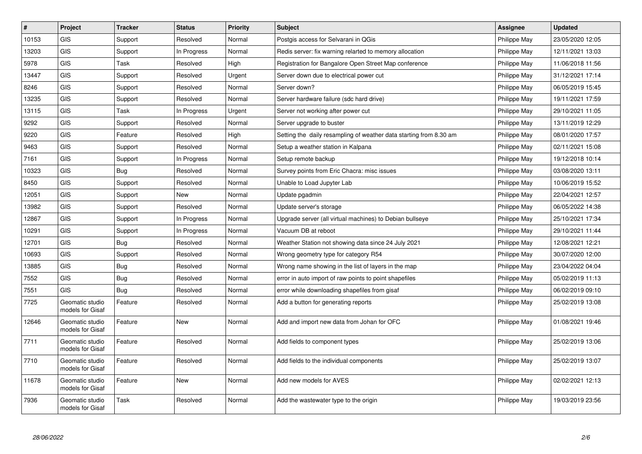| #     | Project                             | <b>Tracker</b> | <b>Status</b> | <b>Priority</b> | <b>Subject</b>                                                     | <b>Assignee</b> | <b>Updated</b>   |
|-------|-------------------------------------|----------------|---------------|-----------------|--------------------------------------------------------------------|-----------------|------------------|
| 10153 | <b>GIS</b>                          | Support        | Resolved      | Normal          | Postgis access for Selvarani in QGis                               | Philippe May    | 23/05/2020 12:05 |
| 13203 | GIS                                 | Support        | In Progress   | Normal          | Redis server: fix warning relarted to memory allocation            | Philippe May    | 12/11/2021 13:03 |
| 5978  | GIS                                 | Task           | Resolved      | High            | Registration for Bangalore Open Street Map conference              | Philippe May    | 11/06/2018 11:56 |
| 13447 | GIS                                 | Support        | Resolved      | Urgent          | Server down due to electrical power cut                            | Philippe May    | 31/12/2021 17:14 |
| 8246  | GIS                                 | Support        | Resolved      | Normal          | Server down?                                                       | Philippe May    | 06/05/2019 15:45 |
| 13235 | GIS                                 | Support        | Resolved      | Normal          | Server hardware failure (sdc hard drive)                           | Philippe May    | 19/11/2021 17:59 |
| 13115 | <b>GIS</b>                          | Task           | In Progress   | Urgent          | Server not working after power cut                                 | Philippe May    | 29/10/2021 11:05 |
| 9292  | <b>GIS</b>                          | Support        | Resolved      | Normal          | Server upgrade to buster                                           | Philippe May    | 13/11/2019 12:29 |
| 9220  | GIS                                 | Feature        | Resolved      | High            | Setting the daily resampling of weather data starting from 8.30 am | Philippe May    | 08/01/2020 17:57 |
| 9463  | GIS                                 | Support        | Resolved      | Normal          | Setup a weather station in Kalpana                                 | Philippe May    | 02/11/2021 15:08 |
| 7161  | GIS                                 | Support        | In Progress   | Normal          | Setup remote backup                                                | Philippe May    | 19/12/2018 10:14 |
| 10323 | GIS                                 | Bug            | Resolved      | Normal          | Survey points from Eric Chacra: misc issues                        | Philippe May    | 03/08/2020 13:11 |
| 8450  | GIS                                 | Support        | Resolved      | Normal          | Unable to Load Jupyter Lab                                         | Philippe May    | 10/06/2019 15:52 |
| 12051 | GIS                                 | Support        | New           | Normal          | Update pgadmin                                                     | Philippe May    | 22/04/2021 12:57 |
| 13982 | GIS                                 | Support        | Resolved      | Normal          | Update server's storage                                            | Philippe May    | 06/05/2022 14:38 |
| 12867 | GIS                                 | Support        | In Progress   | Normal          | Upgrade server (all virtual machines) to Debian bullseye           | Philippe May    | 25/10/2021 17:34 |
| 10291 | GIS                                 | Support        | In Progress   | Normal          | Vacuum DB at reboot                                                | Philippe May    | 29/10/2021 11:44 |
| 12701 | GIS                                 | <b>Bug</b>     | Resolved      | Normal          | Weather Station not showing data since 24 July 2021                | Philippe May    | 12/08/2021 12:21 |
| 10693 | GIS                                 | Support        | Resolved      | Normal          | Wrong geometry type for category R54                               | Philippe May    | 30/07/2020 12:00 |
| 13885 | <b>GIS</b>                          | Bug            | Resolved      | Normal          | Wrong name showing in the list of layers in the map                | Philippe May    | 23/04/2022 04:04 |
| 7552  | <b>GIS</b>                          | <b>Bug</b>     | Resolved      | Normal          | error in auto import of raw points to point shapefiles             | Philippe May    | 05/02/2019 11:13 |
| 7551  | GIS                                 | Bug            | Resolved      | Normal          | error while downloading shapefiles from gisaf                      | Philippe May    | 06/02/2019 09:10 |
| 7725  | Geomatic studio<br>models for Gisaf | Feature        | Resolved      | Normal          | Add a button for generating reports                                | Philippe May    | 25/02/2019 13:08 |
| 12646 | Geomatic studio<br>models for Gisaf | Feature        | <b>New</b>    | Normal          | Add and import new data from Johan for OFC                         | Philippe May    | 01/08/2021 19:46 |
| 7711  | Geomatic studio<br>models for Gisaf | Feature        | Resolved      | Normal          | Add fields to component types                                      | Philippe May    | 25/02/2019 13:06 |
| 7710  | Geomatic studio<br>models for Gisaf | Feature        | Resolved      | Normal          | Add fields to the individual components                            | Philippe May    | 25/02/2019 13:07 |
| 11678 | Geomatic studio<br>models for Gisaf | Feature        | <b>New</b>    | Normal          | Add new models for AVES                                            | Philippe May    | 02/02/2021 12:13 |
| 7936  | Geomatic studio<br>models for Gisaf | Task           | Resolved      | Normal          | Add the wastewater type to the origin                              | Philippe May    | 19/03/2019 23:56 |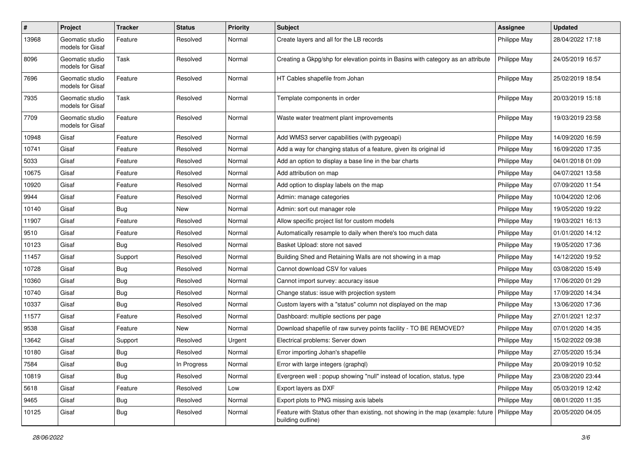| $\pmb{\#}$ | Project                             | <b>Tracker</b> | <b>Status</b> | <b>Priority</b> | <b>Subject</b>                                                                                                       | <b>Assignee</b> | <b>Updated</b>   |
|------------|-------------------------------------|----------------|---------------|-----------------|----------------------------------------------------------------------------------------------------------------------|-----------------|------------------|
| 13968      | Geomatic studio<br>models for Gisaf | Feature        | Resolved      | Normal          | Create layers and all for the LB records                                                                             | Philippe May    | 28/04/2022 17:18 |
| 8096       | Geomatic studio<br>models for Gisaf | Task           | Resolved      | Normal          | Creating a Gkpg/shp for elevation points in Basins with category as an attribute                                     | Philippe May    | 24/05/2019 16:57 |
| 7696       | Geomatic studio<br>models for Gisaf | Feature        | Resolved      | Normal          | HT Cables shapefile from Johan                                                                                       | Philippe May    | 25/02/2019 18:54 |
| 7935       | Geomatic studio<br>models for Gisaf | Task           | Resolved      | Normal          | Template components in order                                                                                         | Philippe May    | 20/03/2019 15:18 |
| 7709       | Geomatic studio<br>models for Gisaf | Feature        | Resolved      | Normal          | Waste water treatment plant improvements                                                                             | Philippe May    | 19/03/2019 23:58 |
| 10948      | Gisaf                               | Feature        | Resolved      | Normal          | Add WMS3 server capabilities (with pygeoapi)                                                                         | Philippe May    | 14/09/2020 16:59 |
| 10741      | Gisaf                               | Feature        | Resolved      | Normal          | Add a way for changing status of a feature, given its original id                                                    | Philippe May    | 16/09/2020 17:35 |
| 5033       | Gisaf                               | Feature        | Resolved      | Normal          | Add an option to display a base line in the bar charts                                                               | Philippe May    | 04/01/2018 01:09 |
| 10675      | Gisaf                               | Feature        | Resolved      | Normal          | Add attribution on map                                                                                               | Philippe May    | 04/07/2021 13:58 |
| 10920      | Gisaf                               | Feature        | Resolved      | Normal          | Add option to display labels on the map                                                                              | Philippe May    | 07/09/2020 11:54 |
| 9944       | Gisaf                               | Feature        | Resolved      | Normal          | Admin: manage categories                                                                                             | Philippe May    | 10/04/2020 12:06 |
| 10140      | Gisaf                               | <b>Bug</b>     | New           | Normal          | Admin: sort out manager role                                                                                         | Philippe May    | 19/05/2020 19:22 |
| 11907      | Gisaf                               | Feature        | Resolved      | Normal          | Allow specific project list for custom models                                                                        | Philippe May    | 19/03/2021 16:13 |
| 9510       | Gisaf                               | Feature        | Resolved      | Normal          | Automatically resample to daily when there's too much data                                                           | Philippe May    | 01/01/2020 14:12 |
| 10123      | Gisaf                               | <b>Bug</b>     | Resolved      | Normal          | Basket Upload: store not saved                                                                                       | Philippe May    | 19/05/2020 17:36 |
| 11457      | Gisaf                               | Support        | Resolved      | Normal          | Building Shed and Retaining Walls are not showing in a map                                                           | Philippe May    | 14/12/2020 19:52 |
| 10728      | Gisaf                               | <b>Bug</b>     | Resolved      | Normal          | Cannot download CSV for values                                                                                       | Philippe May    | 03/08/2020 15:49 |
| 10360      | Gisaf                               | <b>Bug</b>     | Resolved      | Normal          | Cannot import survey: accuracy issue                                                                                 | Philippe May    | 17/06/2020 01:29 |
| 10740      | Gisaf                               | <b>Bug</b>     | Resolved      | Normal          | Change status: issue with projection system                                                                          | Philippe May    | 17/09/2020 14:34 |
| 10337      | Gisaf                               | <b>Bug</b>     | Resolved      | Normal          | Custom layers with a "status" column not displayed on the map                                                        | Philippe May    | 13/06/2020 17:36 |
| 11577      | Gisaf                               | Feature        | Resolved      | Normal          | Dashboard: multiple sections per page                                                                                | Philippe May    | 27/01/2021 12:37 |
| 9538       | Gisaf                               | Feature        | New           | Normal          | Download shapefile of raw survey points facility - TO BE REMOVED?                                                    | Philippe May    | 07/01/2020 14:35 |
| 13642      | Gisaf                               | Support        | Resolved      | Urgent          | Electrical problems: Server down                                                                                     | Philippe May    | 15/02/2022 09:38 |
| 10180      | Gisaf                               | Bug            | Resolved      | Normal          | Error importing Johan's shapefile                                                                                    | Philippe May    | 27/05/2020 15:34 |
| 7584       | Gisaf                               | <b>Bug</b>     | In Progress   | Normal          | Error with large integers (graphql)                                                                                  | Philippe May    | 20/09/2019 10:52 |
| 10819      | Gisaf                               | Bug            | Resolved      | Normal          | Evergreen well: popup showing "null" instead of location, status, type                                               | Philippe May    | 23/08/2020 23:44 |
| 5618       | Gisaf                               | Feature        | Resolved      | Low             | Export layers as DXF                                                                                                 | Philippe May    | 05/03/2019 12:42 |
| 9465       | Gisaf                               | <b>Bug</b>     | Resolved      | Normal          | Export plots to PNG missing axis labels                                                                              | Philippe May    | 08/01/2020 11:35 |
| 10125      | Gisaf                               | <b>Bug</b>     | Resolved      | Normal          | Feature with Status other than existing, not showing in the map (example: future   Philippe May<br>building outline) |                 | 20/05/2020 04:05 |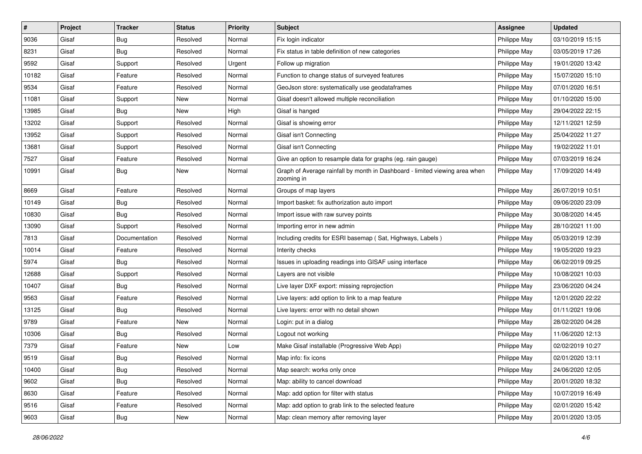| $\vert$ # | Project | <b>Tracker</b> | <b>Status</b> | <b>Priority</b> | <b>Subject</b>                                                                            | <b>Assignee</b> | <b>Updated</b>   |
|-----------|---------|----------------|---------------|-----------------|-------------------------------------------------------------------------------------------|-----------------|------------------|
| 9036      | Gisaf   | <b>Bug</b>     | Resolved      | Normal          | Fix login indicator                                                                       | Philippe May    | 03/10/2019 15:15 |
| 8231      | Gisaf   | Bug            | Resolved      | Normal          | Fix status in table definition of new categories                                          | Philippe May    | 03/05/2019 17:26 |
| 9592      | Gisaf   | Support        | Resolved      | Urgent          | Follow up migration                                                                       | Philippe May    | 19/01/2020 13:42 |
| 10182     | Gisaf   | Feature        | Resolved      | Normal          | Function to change status of surveyed features                                            | Philippe May    | 15/07/2020 15:10 |
| 9534      | Gisaf   | Feature        | Resolved      | Normal          | GeoJson store: systematically use geodataframes                                           | Philippe May    | 07/01/2020 16:51 |
| 11081     | Gisaf   | Support        | New           | Normal          | Gisaf doesn't allowed multiple reconciliation                                             | Philippe May    | 01/10/2020 15:00 |
| 13985     | Gisaf   | Bug            | New           | High            | Gisaf is hanged                                                                           | Philippe May    | 29/04/2022 22:15 |
| 13202     | Gisaf   | Support        | Resolved      | Normal          | Gisaf is showing error                                                                    | Philippe May    | 12/11/2021 12:59 |
| 13952     | Gisaf   | Support        | Resolved      | Normal          | Gisaf isn't Connecting                                                                    | Philippe May    | 25/04/2022 11:27 |
| 13681     | Gisaf   | Support        | Resolved      | Normal          | Gisaf isn't Connecting                                                                    | Philippe May    | 19/02/2022 11:01 |
| 7527      | Gisaf   | Feature        | Resolved      | Normal          | Give an option to resample data for graphs (eg. rain gauge)                               | Philippe May    | 07/03/2019 16:24 |
| 10991     | Gisaf   | Bug            | New           | Normal          | Graph of Average rainfall by month in Dashboard - limited viewing area when<br>zooming in | Philippe May    | 17/09/2020 14:49 |
| 8669      | Gisaf   | Feature        | Resolved      | Normal          | Groups of map layers                                                                      | Philippe May    | 26/07/2019 10:51 |
| 10149     | Gisaf   | <b>Bug</b>     | Resolved      | Normal          | Import basket: fix authorization auto import                                              | Philippe May    | 09/06/2020 23:09 |
| 10830     | Gisaf   | Bug            | Resolved      | Normal          | Import issue with raw survey points                                                       | Philippe May    | 30/08/2020 14:45 |
| 13090     | Gisaf   | Support        | Resolved      | Normal          | Importing error in new admin                                                              | Philippe May    | 28/10/2021 11:00 |
| 7813      | Gisaf   | Documentation  | Resolved      | Normal          | Including credits for ESRI basemap (Sat, Highways, Labels)                                | Philippe May    | 05/03/2019 12:39 |
| 10014     | Gisaf   | Feature        | Resolved      | Normal          | Interity checks                                                                           | Philippe May    | 19/05/2020 19:23 |
| 5974      | Gisaf   | <b>Bug</b>     | Resolved      | Normal          | Issues in uploading readings into GISAF using interface                                   | Philippe May    | 06/02/2019 09:25 |
| 12688     | Gisaf   | Support        | Resolved      | Normal          | Layers are not visible                                                                    | Philippe May    | 10/08/2021 10:03 |
| 10407     | Gisaf   | Bug            | Resolved      | Normal          | Live layer DXF export: missing reprojection                                               | Philippe May    | 23/06/2020 04:24 |
| 9563      | Gisaf   | Feature        | Resolved      | Normal          | Live layers: add option to link to a map feature                                          | Philippe May    | 12/01/2020 22:22 |
| 13125     | Gisaf   | Bug            | Resolved      | Normal          | Live layers: error with no detail shown                                                   | Philippe May    | 01/11/2021 19:06 |
| 9789      | Gisaf   | Feature        | New           | Normal          | Login: put in a dialog                                                                    | Philippe May    | 28/02/2020 04:28 |
| 10306     | Gisaf   | Bug            | Resolved      | Normal          | Logout not working                                                                        | Philippe May    | 11/06/2020 12:13 |
| 7379      | Gisaf   | Feature        | New           | Low             | Make Gisaf installable (Progressive Web App)                                              | Philippe May    | 02/02/2019 10:27 |
| 9519      | Gisaf   | Bug            | Resolved      | Normal          | Map info: fix icons                                                                       | Philippe May    | 02/01/2020 13:11 |
| 10400     | Gisaf   | <b>Bug</b>     | Resolved      | Normal          | Map search: works only once                                                               | Philippe May    | 24/06/2020 12:05 |
| 9602      | Gisaf   | Bug            | Resolved      | Normal          | Map: ability to cancel download                                                           | Philippe May    | 20/01/2020 18:32 |
| 8630      | Gisaf   | Feature        | Resolved      | Normal          | Map: add option for filter with status                                                    | Philippe May    | 10/07/2019 16:49 |
| 9516      | Gisaf   | Feature        | Resolved      | Normal          | Map: add option to grab link to the selected feature                                      | Philippe May    | 02/01/2020 15:42 |
| 9603      | Gisaf   | Bug            | New           | Normal          | Map: clean memory after removing layer                                                    | Philippe May    | 20/01/2020 13:05 |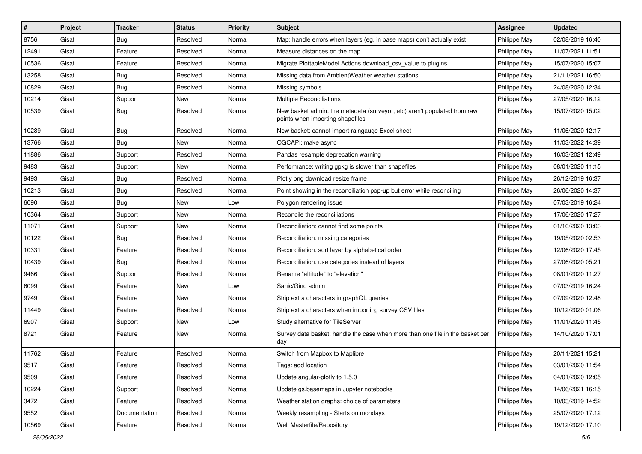| $\sharp$ | Project | <b>Tracker</b> | <b>Status</b> | Priority | <b>Subject</b>                                                                                               | <b>Assignee</b> | <b>Updated</b>   |
|----------|---------|----------------|---------------|----------|--------------------------------------------------------------------------------------------------------------|-----------------|------------------|
| 8756     | Gisaf   | <b>Bug</b>     | Resolved      | Normal   | Map: handle errors when layers (eg, in base maps) don't actually exist                                       | Philippe May    | 02/08/2019 16:40 |
| 12491    | Gisaf   | Feature        | Resolved      | Normal   | Measure distances on the map                                                                                 | Philippe May    | 11/07/2021 11:51 |
| 10536    | Gisaf   | Feature        | Resolved      | Normal   | Migrate PlottableModel.Actions.download csv value to plugins                                                 | Philippe May    | 15/07/2020 15:07 |
| 13258    | Gisaf   | Bug            | Resolved      | Normal   | Missing data from AmbientWeather weather stations                                                            | Philippe May    | 21/11/2021 16:50 |
| 10829    | Gisaf   | Bug            | Resolved      | Normal   | Missing symbols                                                                                              | Philippe May    | 24/08/2020 12:34 |
| 10214    | Gisaf   | Support        | New           | Normal   | Multiple Reconciliations                                                                                     | Philippe May    | 27/05/2020 16:12 |
| 10539    | Gisaf   | Bug            | Resolved      | Normal   | New basket admin: the metadata (surveyor, etc) aren't populated from raw<br>points when importing shapefiles | Philippe May    | 15/07/2020 15:02 |
| 10289    | Gisaf   | <b>Bug</b>     | Resolved      | Normal   | New basket: cannot import raingauge Excel sheet                                                              | Philippe May    | 11/06/2020 12:17 |
| 13766    | Gisaf   | Bug            | New           | Normal   | OGCAPI: make async                                                                                           | Philippe May    | 11/03/2022 14:39 |
| 11886    | Gisaf   | Support        | Resolved      | Normal   | Pandas resample deprecation warning                                                                          | Philippe May    | 16/03/2021 12:49 |
| 9483     | Gisaf   | Support        | New           | Normal   | Performance: writing gpkg is slower than shapefiles                                                          | Philippe May    | 08/01/2020 11:15 |
| 9493     | Gisaf   | Bug            | Resolved      | Normal   | Plotly png download resize frame                                                                             | Philippe May    | 26/12/2019 16:37 |
| 10213    | Gisaf   | Bug            | Resolved      | Normal   | Point showing in the reconciliation pop-up but error while reconciling                                       | Philippe May    | 26/06/2020 14:37 |
| 6090     | Gisaf   | Bug            | New           | Low      | Polygon rendering issue                                                                                      | Philippe May    | 07/03/2019 16:24 |
| 10364    | Gisaf   | Support        | New           | Normal   | Reconcile the reconciliations                                                                                | Philippe May    | 17/06/2020 17:27 |
| 11071    | Gisaf   | Support        | New           | Normal   | Reconciliation: cannot find some points                                                                      | Philippe May    | 01/10/2020 13:03 |
| 10122    | Gisaf   | Bug            | Resolved      | Normal   | Reconciliation: missing categories                                                                           | Philippe May    | 19/05/2020 02:53 |
| 10331    | Gisaf   | Feature        | Resolved      | Normal   | Reconciliation: sort layer by alphabetical order                                                             | Philippe May    | 12/06/2020 17:45 |
| 10439    | Gisaf   | <b>Bug</b>     | Resolved      | Normal   | Reconciliation: use categories instead of layers                                                             | Philippe May    | 27/06/2020 05:21 |
| 9466     | Gisaf   | Support        | Resolved      | Normal   | Rename "altitude" to "elevation"                                                                             | Philippe May    | 08/01/2020 11:27 |
| 6099     | Gisaf   | Feature        | New           | Low      | Sanic/Gino admin                                                                                             | Philippe May    | 07/03/2019 16:24 |
| 9749     | Gisaf   | Feature        | New           | Normal   | Strip extra characters in graphQL queries                                                                    | Philippe May    | 07/09/2020 12:48 |
| 11449    | Gisaf   | Feature        | Resolved      | Normal   | Strip extra characters when importing survey CSV files                                                       | Philippe May    | 10/12/2020 01:06 |
| 6907     | Gisaf   | Support        | New           | Low      | Study alternative for TileServer                                                                             | Philippe May    | 11/01/2020 11:45 |
| 8721     | Gisaf   | Feature        | New           | Normal   | Survey data basket: handle the case when more than one file in the basket per<br>day                         | Philippe May    | 14/10/2020 17:01 |
| 11762    | Gisaf   | Feature        | Resolved      | Normal   | Switch from Mapbox to Maplibre                                                                               | Philippe May    | 20/11/2021 15:21 |
| 9517     | Gisaf   | Feature        | Resolved      | Normal   | Tags: add location                                                                                           | Philippe May    | 03/01/2020 11:54 |
| 9509     | Gisaf   | Feature        | Resolved      | Normal   | Update angular-plotly to 1.5.0                                                                               | Philippe May    | 04/01/2020 12:05 |
| 10224    | Gisaf   | Support        | Resolved      | Normal   | Update gs.basemaps in Jupyter notebooks                                                                      | Philippe May    | 14/06/2021 16:15 |
| 3472     | Gisaf   | Feature        | Resolved      | Normal   | Weather station graphs: choice of parameters                                                                 | Philippe May    | 10/03/2019 14:52 |
| 9552     | Gisaf   | Documentation  | Resolved      | Normal   | Weekly resampling - Starts on mondays                                                                        | Philippe May    | 25/07/2020 17:12 |
| 10569    | Gisaf   | Feature        | Resolved      | Normal   | Well Masterfile/Repository                                                                                   | Philippe May    | 19/12/2020 17:10 |